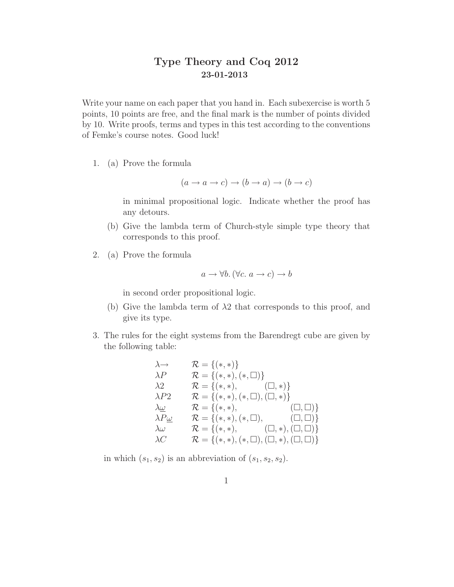## Type Theory and Coq 2012 23-01-2013

Write your name on each paper that you hand in. Each subexercise is worth 5 points, 10 points are free, and the final mark is the number of points divided by 10. Write proofs, terms and types in this test according to the conventions of Femke's course notes. Good luck!

1. (a) Prove the formula

$$
(a \to a \to c) \to (b \to a) \to (b \to c)
$$

in minimal propositional logic. Indicate whether the proof has any detours.

- (b) Give the lambda term of Church-style simple type theory that corresponds to this proof.
- 2. (a) Prove the formula

$$
a \rightarrow \forall b. (\forall c. a \rightarrow c) \rightarrow b
$$

in second order propositional logic.

- (b) Give the lambda term of  $\lambda$ 2 that corresponds to this proof, and give its type.
- 3. The rules for the eight systems from the Barendregt cube are given by the following table:

$$
\lambda \rightarrow \mathcal{R} = \{(*, *)\}
$$
\n
$$
\lambda P \qquad \mathcal{R} = \{(*, *) , (*, \Box)\}
$$
\n
$$
\lambda 2 \qquad \mathcal{R} = \{(*, *) , (\Box, *)\}
$$
\n
$$
\lambda P2 \qquad \mathcal{R} = \{(*, *) , (\Box, \Box), (\Box, *)\}
$$
\n
$$
\lambda \underline{\omega} \qquad \mathcal{R} = \{(*, *) , (\ast, \Box), (\Box, \Box)\}
$$
\n
$$
\lambda P \underline{\omega} \qquad \mathcal{R} = \{(*, *) , (\ast, \Box), (\Box, \Box)\}
$$
\n
$$
\lambda \omega \qquad \mathcal{R} = \{(*, *) , (\Box, \Box), (\Box, *) , (\Box, \Box)\}
$$
\n
$$
\lambda C \qquad \mathcal{R} = \{(*, *) , (*, \Box), (\Box, *) , (\Box, \Box)\}
$$

in which  $(s_1, s_2)$  is an abbreviation of  $(s_1, s_2, s_2)$ .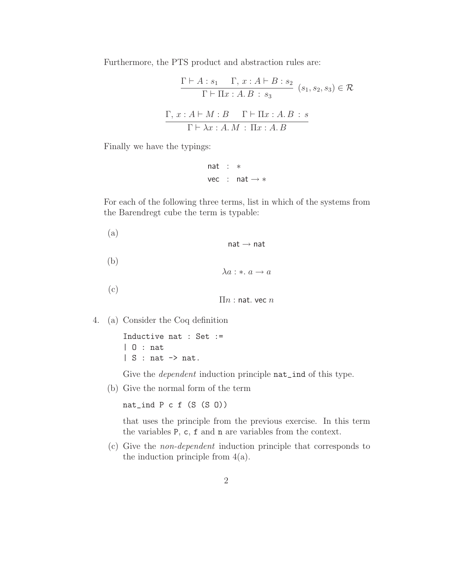Furthermore, the PTS product and abstraction rules are:

$$
\frac{\Gamma \vdash A : s_1 \quad \Gamma, x : A \vdash B : s_2}{\Gamma \vdash \Pi x : A.B : s_3} \quad (s_1, s_2, s_3) \in \mathcal{R}
$$

$$
\frac{\Gamma, x : A \vdash M : B \quad \Gamma \vdash \Pi x : A.B : s}{\Gamma \vdash \lambda x : A.M : \Pi x : A.B}
$$

Finally we have the typings:

$$
\begin{array}{lcl} \text{nat} & : & * \\ \text{vec} & : & \text{nat} \rightarrow *
$$

For each of the following three terms, list in which of the systems from the Barendregt cube the term is typable:

(a)  $nat \rightarrow nat$ (b)  $\lambda a : * \ldots a \rightarrow a$ (c)  $\Pi n$  : nat. vec  $n$ 

4. (a) Consider the Coq definition

Inductive nat : Set := | O : nat  $| S : nat \rightarrow nat.$ 

Give the *dependent* induction principle  $nat\_ind$  of this type.

(b) Give the normal form of the term

```
nat_ind P c f (S (S O))
```
that uses the principle from the previous exercise. In this term the variables P, c, f and n are variables from the context.

(c) Give the non-dependent induction principle that corresponds to the induction principle from  $4(a)$ .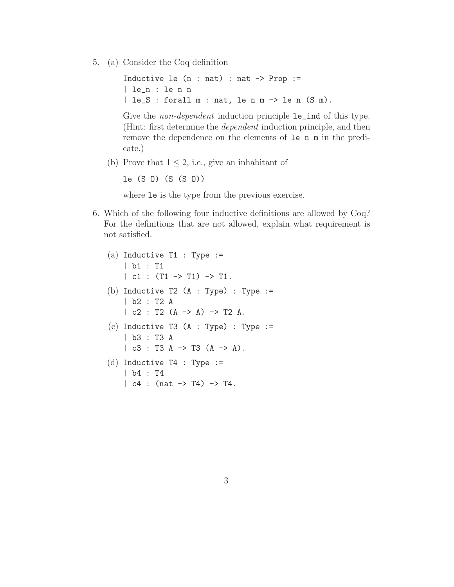5. (a) Consider the Coq definition

Inductive le  $(n : nat) : nat \rightarrow Prop :=$ | le\_n : le n n | le\_S : forall m : nat, le n m -> le n (S m).

Give the *non-dependent* induction principle  $le$ **le\_ind** of this type. (Hint: first determine the dependent induction principle, and then remove the dependence on the elements of le n m in the predicate.)

(b) Prove that  $1 \leq 2$ , i.e., give an inhabitant of

```
le (S O) (S (S O))
```
where le is the type from the previous exercise.

6. Which of the following four inductive definitions are allowed by Coq? For the definitions that are not allowed, explain what requirement is not satisfied.

```
(a) Inductive T1 : Type :=| b1 : T1
    | c1 : (T1 \rightarrow T1) \rightarrow T1.
(b) Inductive T2 (A : Type) : Type :=
    | b2 : T2 A
    | c2 : T2 (A \rightarrow A) \rightarrow T2 A.
(c) Inductive T3 (A : Type) : Type :=
    | b3 : T3 A
    | c3 : T3 A -> T3 (A -> A).
(d) Inductive T4 : Type :=
    | b4 : T4
    | c4 : (nat -> T4) -> T4.
```